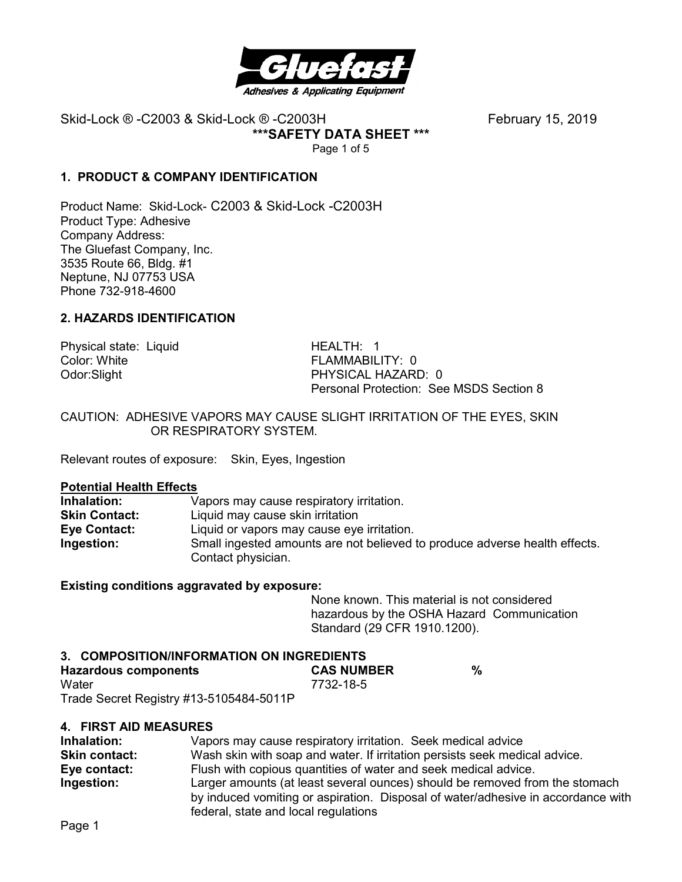

**\*\*\*SAFETY DATA SHEET \*\*\*** 

Page 1 of 5

# **1. PRODUCT & COMPANY IDENTIFICATION**

Product Name: Skid-Lock- C2003 & Skid-Lock -C2003H Product Type: Adhesive Company Address: The Gluefast Company, Inc. 3535 Route 66, Bldg. #1 Neptune, NJ 07753 USA Phone 732-918-4600

# **2. HAZARDS IDENTIFICATION**

Physical state: Liquid HEALTH: 1<br>Color: White Golor: White Color: White FLAMMABILITY: 0<br>
Odor:Slight FERAMMABILITY: 0

PHYSICAL HAZARD: 0 Personal Protection: See MSDS Section 8

CAUTION: ADHESIVE VAPORS MAY CAUSE SLIGHT IRRITATION OF THE EYES, SKIN OR RESPIRATORY SYSTEM.

Relevant routes of exposure: Skin, Eyes, Ingestion

#### **Potential Health Effects**

| Inhalation:          | Vapors may cause respiratory irritation.                                   |
|----------------------|----------------------------------------------------------------------------|
| <b>Skin Contact:</b> | Liquid may cause skin irritation                                           |
| Eye Contact:         | Liquid or vapors may cause eye irritation.                                 |
| Ingestion:           | Small ingested amounts are not believed to produce adverse health effects. |
|                      | Contact physician.                                                         |

# **Existing conditions aggravated by exposure:**

None known. This material is not considered hazardous by the OSHA Hazard Communication Standard (29 CFR 1910.1200).

| 3. COMPOSITION/INFORMATION ON INGREDIENTS |                   |   |
|-------------------------------------------|-------------------|---|
| Hazardous components                      | <b>CAS NUMBER</b> | % |
| Water                                     | 7732-18-5         |   |
| Trade Secret Registry #13-5105484-5011P   |                   |   |

Trade Secret Registry #13-5105484-5011P

# **4. FIRST AID MEASURES**

| Inhalation:   | Vapors may cause respiratory irritation. Seek medical advice                                                                                                    |
|---------------|-----------------------------------------------------------------------------------------------------------------------------------------------------------------|
| Skin contact: | Wash skin with soap and water. If irritation persists seek medical advice.                                                                                      |
| Eye contact:  | Flush with copious quantities of water and seek medical advice.                                                                                                 |
| Ingestion:    | Larger amounts (at least several ounces) should be removed from the stomach<br>by induced vomiting or aspiration. Disposal of water/adhesive in accordance with |
|               | federal, state and local regulations                                                                                                                            |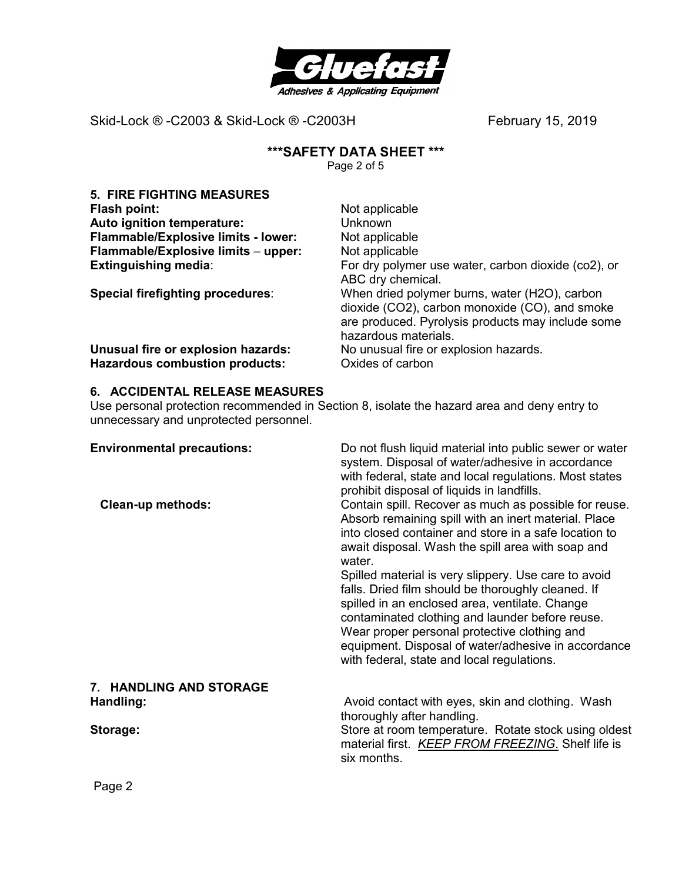

# **\*\*\*SAFETY DATA SHEET \*\*\***

Page 2 of 5

| <b>5. FIRE FIGHTING MEASURES</b>        |                                                                                                                                                                              |
|-----------------------------------------|------------------------------------------------------------------------------------------------------------------------------------------------------------------------------|
| Flash point:                            | Not applicable                                                                                                                                                               |
| Auto ignition temperature:              | <b>Unknown</b>                                                                                                                                                               |
| Flammable/Explosive limits - lower:     | Not applicable                                                                                                                                                               |
| Flammable/Explosive limits - upper:     | Not applicable                                                                                                                                                               |
| <b>Extinguishing media:</b>             | For dry polymer use water, carbon dioxide (co2), or<br>ABC dry chemical.                                                                                                     |
| <b>Special firefighting procedures:</b> | When dried polymer burns, water (H2O), carbon<br>dioxide (CO2), carbon monoxide (CO), and smoke<br>are produced. Pyrolysis products may include some<br>hazardous materials. |
| Unusual fire or explosion hazards:      | No unusual fire or explosion hazards.                                                                                                                                        |
| <b>Hazardous combustion products:</b>   | Oxides of carbon                                                                                                                                                             |

# **6. ACCIDENTAL RELEASE MEASURES**

Use personal protection recommended in Section 8, isolate the hazard area and deny entry to unnecessary and unprotected personnel.

| <b>Environmental precautions:</b><br><b>Clean-up methods:</b> | Do not flush liquid material into public sewer or water<br>system. Disposal of water/adhesive in accordance<br>with federal, state and local regulations. Most states<br>prohibit disposal of liquids in landfills.<br>Contain spill. Recover as much as possible for reuse.                                                                                         |
|---------------------------------------------------------------|----------------------------------------------------------------------------------------------------------------------------------------------------------------------------------------------------------------------------------------------------------------------------------------------------------------------------------------------------------------------|
|                                                               | Absorb remaining spill with an inert material. Place<br>into closed container and store in a safe location to<br>await disposal. Wash the spill area with soap and<br>water.                                                                                                                                                                                         |
|                                                               | Spilled material is very slippery. Use care to avoid<br>falls. Dried film should be thoroughly cleaned. If<br>spilled in an enclosed area, ventilate. Change<br>contaminated clothing and launder before reuse.<br>Wear proper personal protective clothing and<br>equipment. Disposal of water/adhesive in accordance<br>with federal, state and local regulations. |
| <b>7. HANDLING AND STORAGE</b>                                |                                                                                                                                                                                                                                                                                                                                                                      |
| Handling:                                                     | Avoid contact with eyes, skin and clothing. Wash<br>thoroughly after handling.                                                                                                                                                                                                                                                                                       |
| Storage:                                                      | Store at room temperature. Rotate stock using oldest<br>material first. KEEP FROM FREEZING. Shelf life is<br>six months.                                                                                                                                                                                                                                             |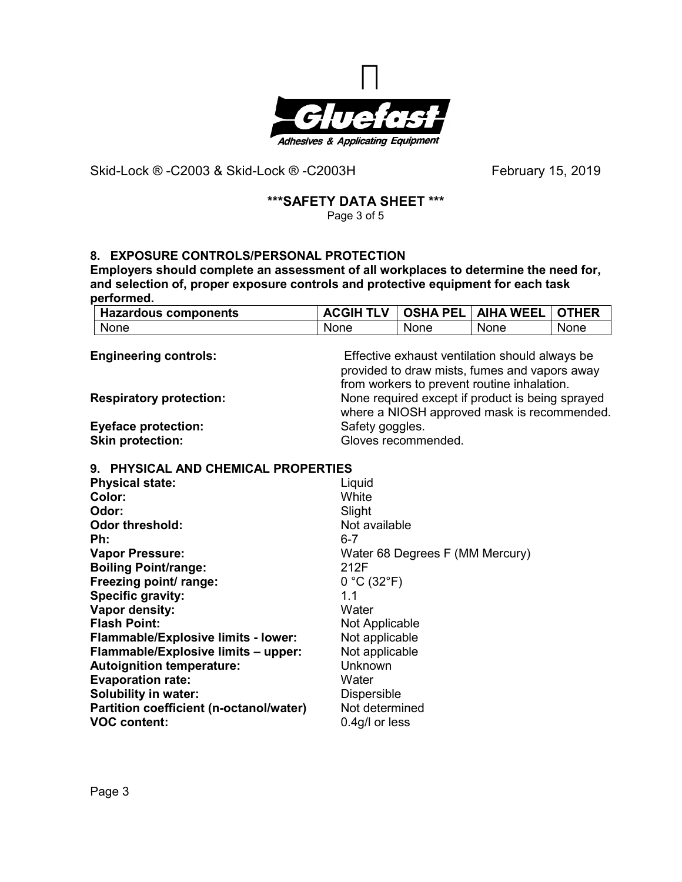

# **\*\*\*SAFETY DATA SHEET \*\*\***

Page 3 of 5

# **8. EXPOSURE CONTROLS/PERSONAL PROTECTION**

**Employers should complete an assessment of all workplaces to determine the need for, and selection of, proper exposure controls and protective equipment for each task performed.** 

| Hazardous components | <b>ACGIH TLV</b> | <b>OSHA PEL</b> | <b>AIHA WEEL</b> | l OTHER |
|----------------------|------------------|-----------------|------------------|---------|
| None                 | <b>None</b>      | None            | None             | None    |

| <b>Engineering controls:</b>            | Effective exhaust ventilation should always be<br>provided to draw mists, fumes and vapors away |
|-----------------------------------------|-------------------------------------------------------------------------------------------------|
|                                         | from workers to prevent routine inhalation.                                                     |
| <b>Respiratory protection:</b>          | None required except if product is being sprayed<br>where a NIOSH approved mask is recommended. |
| <b>Eyeface protection:</b>              | Safety goggles.                                                                                 |
| <b>Skin protection:</b>                 | Gloves recommended.                                                                             |
| 9. PHYSICAL AND CHEMICAL PROPERTIES     |                                                                                                 |
| <b>Physical state:</b>                  | Liquid                                                                                          |
| Color:                                  | White                                                                                           |
| Odor:                                   | Slight                                                                                          |
| <b>Odor threshold:</b>                  | Not available                                                                                   |
| Ph:                                     | $6 - 7$                                                                                         |
| <b>Vapor Pressure:</b>                  | Water 68 Degrees F (MM Mercury)                                                                 |
| <b>Boiling Point/range:</b>             | 212F                                                                                            |
| Freezing point/ range:                  | 0 °C (32 °F)                                                                                    |
| Specific gravity:                       | 1.1                                                                                             |
| Vapor density:                          | Water                                                                                           |
| <b>Flash Point:</b>                     | Not Applicable                                                                                  |
| Flammable/Explosive limits - lower:     | Not applicable                                                                                  |
| Flammable/Explosive limits - upper:     | Not applicable                                                                                  |
| <b>Autoignition temperature:</b>        | Unknown                                                                                         |
| <b>Evaporation rate:</b>                | Water                                                                                           |
| <b>Solubility in water:</b>             | <b>Dispersible</b>                                                                              |
| Partition coefficient (n-octanol/water) | Not determined                                                                                  |
| <b>VOC content:</b>                     | 0.4g/l or less                                                                                  |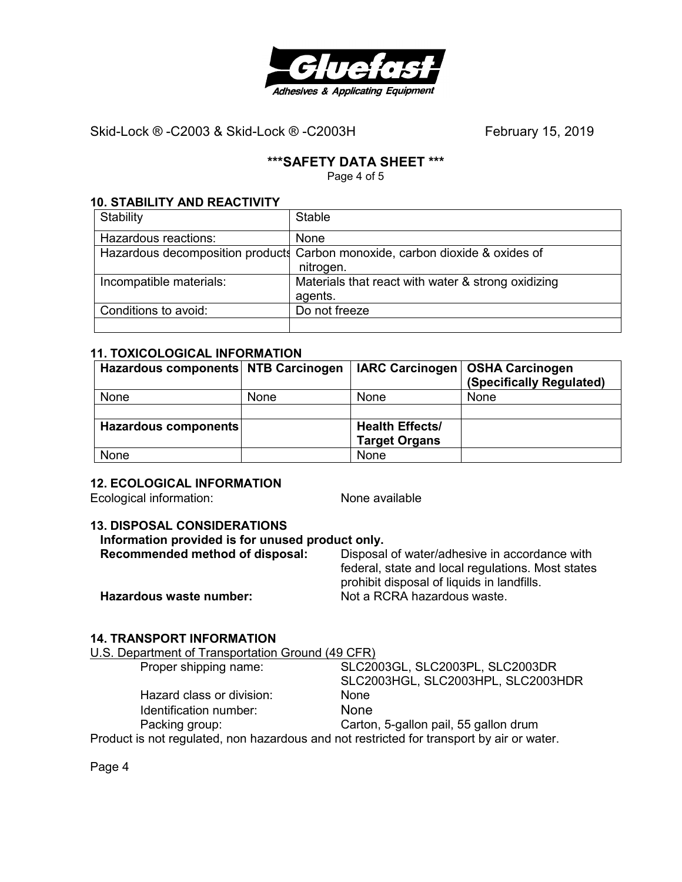

# **\*\*\*SAFETY DATA SHEET \*\*\***

Page 4 of 5

#### **10. STABILITY AND REACTIVITY**

| Stability               | <b>Stable</b>                                                                |
|-------------------------|------------------------------------------------------------------------------|
| Hazardous reactions:    | None                                                                         |
|                         | Hazardous decomposition products Carbon monoxide, carbon dioxide & oxides of |
|                         | nitrogen.                                                                    |
| Incompatible materials: | Materials that react with water & strong oxidizing                           |
|                         | agents.                                                                      |
| Conditions to avoid:    | Do not freeze                                                                |
|                         |                                                                              |

## **11. TOXICOLOGICAL INFORMATION**

| Hazardous components NTB Carcinogen |             | IARC Carcinogen        | OSHA Carcinogen<br>(Specifically Regulated) |
|-------------------------------------|-------------|------------------------|---------------------------------------------|
| None                                | <b>None</b> | <b>None</b>            | <b>None</b>                                 |
|                                     |             |                        |                                             |
| Hazardous components                |             | <b>Health Effects/</b> |                                             |
|                                     |             | <b>Target Organs</b>   |                                             |
| None                                |             | None                   |                                             |

#### **12. ECOLOGICAL INFORMATION**

Ecological information: None available

# **13. DISPOSAL CONSIDERATIONS**

| Information provided is for unused product only. |                                                                                                 |  |
|--------------------------------------------------|-------------------------------------------------------------------------------------------------|--|
| Recommended method of disposal:                  | Disposal of water/adhesive in accordance with                                                   |  |
|                                                  | federal, state and local regulations. Most states<br>prohibit disposal of liquids in landfills. |  |
| Hazardous waste number:                          | Not a RCRA hazardous waste.                                                                     |  |
|                                                  |                                                                                                 |  |

# **14. TRANSPORT INFORMATION**

U.S. Department of Transportation Ground (49 CFR)

| Proper shipping name:                                                                     | SLC2003GL, SLC2003PL, SLC2003DR       |
|-------------------------------------------------------------------------------------------|---------------------------------------|
|                                                                                           | SLC2003HGL, SLC2003HPL, SLC2003HDR    |
| Hazard class or division:                                                                 | <b>None</b>                           |
| Identification number:                                                                    | <b>None</b>                           |
| Packing group:                                                                            | Carton, 5-gallon pail, 55 gallon drum |
| Product is not regulated, non hazardous and not restricted for transport by air or water. |                                       |

Page 4